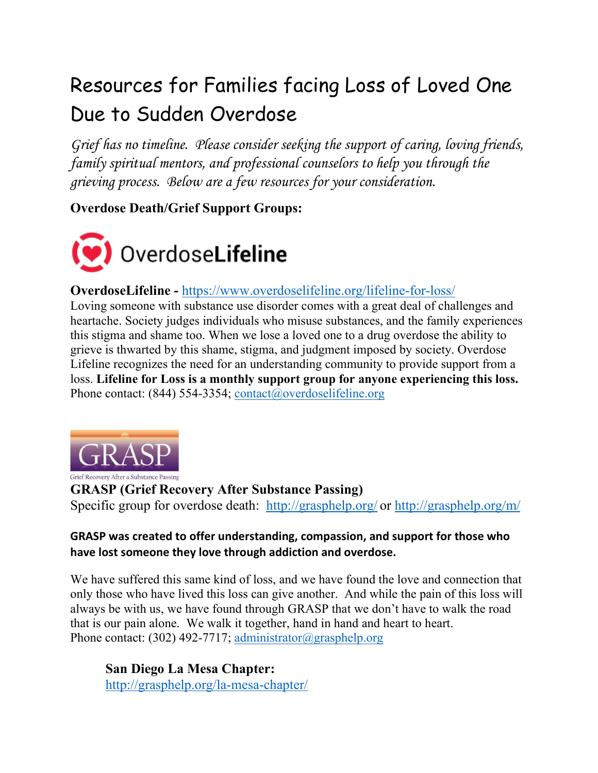# Resources for Families facing Loss of Loved One Due to Sudden Overdose

*Grief has no timeline. Please consider seeking the support of caring, loving friends, family spiritual mentors, and professional counselors to help you through the grieving process. Below are a few resources for your consideration.*

# **Overdose Death/Grief Support Groups:**



# **OverdoseLifeline -** <https://www.overdoselifeline.org/lifeline-for-loss/>

Loving someone with substance use disorder comes with a great deal of challenges and heartache. Society judges individuals who misuse substances, and the family experiences this stigma and shame too. When we lose a loved one to a drug overdose the ability to grieve is thwarted by this shame, stigma, and judgment imposed by society. Overdose Lifeline recognizes the need for an understanding community to provide support from a loss. **Lifeline for Loss is a monthly support group for anyone experiencing this loss.** Phone contact: (844) 554-3354; [contact@overdoselifeline.org](mailto:contact@overdoselifeline.org)



**GRASP (Grief Recovery After Substance Passing)** Specific group for overdose death: [http://grasphelp.org/](https://protect2.fireeye.com/v1/url?k=ed27bee5-b2bc87b4-ed209a00-ac1f6b01770e-451b645f85a16342&q=1&e=af9bd1ee-5ac2-4e62-8d0a-4757b8c8970c&u=http%3A%2F%2Fgrasphelp.org%2F) or<http://grasphelp.org/m/>

#### **GRASP was created to offer understanding, compassion, and support for those who have lost someone they love through addiction and overdose.**

We have suffered this same kind of loss, and we have found the love and connection that only those who have lived this loss can give another. And while the pain of this loss will always be with us, we have found through GRASP that we don't have to walk the road that is our pain alone. We walk it together, hand in hand and heart to heart. Phone contact: (302) 492-7717; [administrator@grasphelp.org](mailto:administrator@grasphelp.org)

**San Diego La Mesa Chapter:** <http://grasphelp.org/la-mesa-chapter/>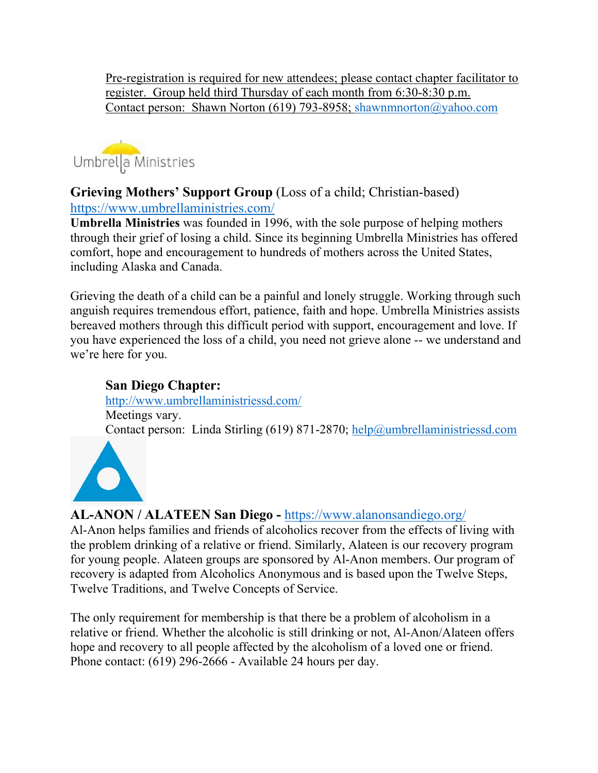Pre-registration is required for new attendees; please contact chapter facilitator to register. Group held third Thursday of each month from 6:30-8:30 p.m. Contact person: Shawn Norton (619) 793-8958; [shawnmnorton@yahoo.com](mailto:shawnmnorton@yahoo.com)



#### **Grieving Mothers' Support Group** (Loss of a child; Christian-based) <https://www.umbrellaministries.com/>

**Umbrella Ministries** was founded in 1996, with the sole purpose of helping mothers through their grief of losing a child. Since its beginning Umbrella Ministries has offered comfort, hope and encouragement to hundreds of mothers across the United States, including Alaska and Canada.

Grieving the death of a child can be a painful and lonely struggle. Working through such anguish requires tremendous effort, patience, faith and hope. Umbrella Ministries assists bereaved mothers through this difficult period with support, encouragement and love. If you have experienced the loss of a child, you need not grieve alone -- we understand and we're here for you.

#### **San Diego Chapter:**

<http://www.umbrellaministriessd.com/> Meetings vary. Contact person: Linda Stirling (619) 871-2870; [help@umbrellaministriessd.com](mailto:help@umbrellaministriessd.com)



# **AL-ANON / ALATEEN San Diego -** <https://www.alanonsandiego.org/>

Al-Anon helps families and friends of alcoholics recover from the effects of living with the problem drinking of a relative or friend. Similarly, Alateen is our recovery program for young people. Alateen groups are sponsored by Al-Anon members. Our program of recovery is adapted from Alcoholics Anonymous and is based upon the Twelve Steps, Twelve Traditions, and Twelve Concepts of Service.

The only requirement for membership is that there be a problem of alcoholism in a relative or friend. Whether the alcoholic is still drinking or not, Al-Anon/Alateen offers hope and recovery to all people affected by the alcoholism of a loved one or friend. Phone contact: (619) 296-2666 - Available 24 hours per day.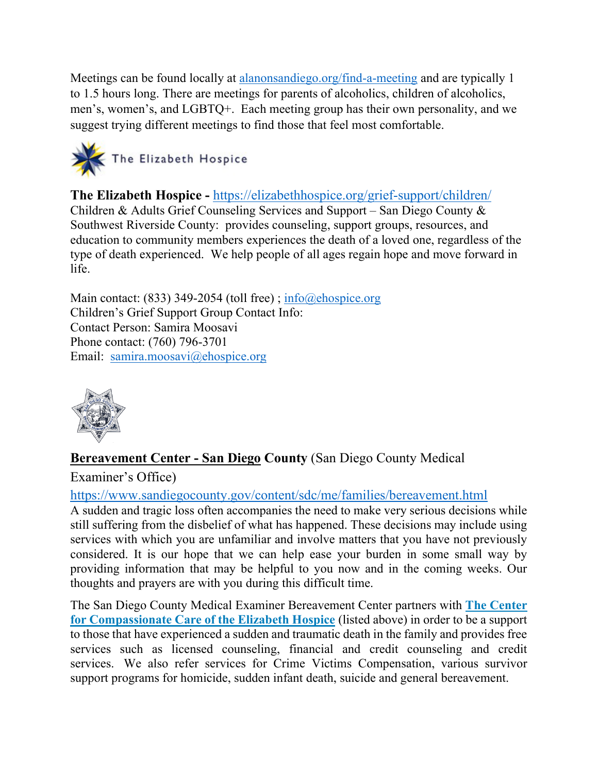Meetings can be found locally at [alanonsandiego.org/find-a-meeting](https://protect2.fireeye.com/v1/url?k=e8dd7561-b7464dac-e8da5184-ac1f6b017728-102b61905dc95dc6&q=1&e=8f5c9bfd-5e58-4223-ad8b-9ffd5faee8c1&u=http%3A%2F%2Falanonsandiego.org%2Ffind-a-meeting) and are typically 1 to 1.5 hours long. There are meetings for parents of alcoholics, children of alcoholics, men's, women's, and LGBTQ+. Each meeting group has their own personality, and we suggest trying different meetings to find those that feel most comfortable.



**The Elizabeth Hospice -** <https://elizabethhospice.org/grief-support/children/> Children & Adults Grief Counseling Services and Support – San Diego County & Southwest Riverside County: provides counseling, support groups, resources, and education to community members experiences the death of a loved one, regardless of the type of death experienced. We help people of all ages regain hope and move forward in life.

Main contact: (833) 349-2054 (toll free); [info@ehospice.org](mailto:info@ehospice.org) Children's Grief Support Group Contact Info: Contact Person: Samira Moosavi Phone contact: (760) 796-3701 Email: [samira.moosavi@ehospice.org](mailto:samira.moosavi@ehospice.org)



# **[Bereavement Center - San Diego](https://www.sandiegocounty.gov/content/sdc/me/families/bereavement.html) County** (San Diego County Medical

Examiner's Office)

## <https://www.sandiegocounty.gov/content/sdc/me/families/bereavement.html>

A sudden and tragic loss often accompanies the need to make very serious decisions while still suffering from the disbelief of what has happened. These decisions may include using services with which you are unfamiliar and involve matters that you have not previously considered. It is our hope that we can help ease your burden in some small way by providing information that may be helpful to you now and in the coming weeks. Our thoughts and prayers are with you during this difficult time.

The San Diego County Medical Examiner Bereavement Center partners with **[The Center](http://www.cccforhope.org/)  [for Compassionate Care of the Elizabeth Hospice](http://www.cccforhope.org/)** (listed above) in order to be a support to those that have experienced a sudden and traumatic death in the family and provides free services such as licensed counseling, financial and credit counseling and credit services. We also refer services for Crime Victims Compensation, various survivor support programs for homicide, sudden infant death, suicide and general bereavement.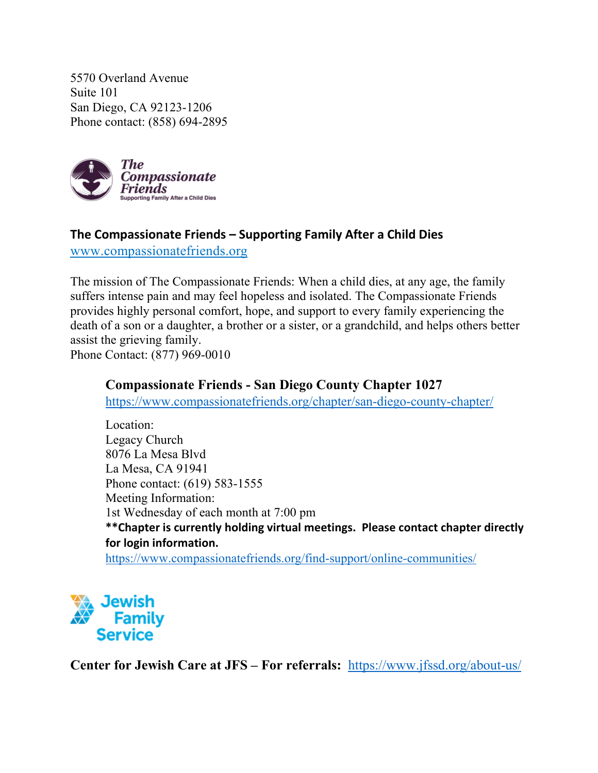5570 Overland Avenue Suite 101 San Diego, CA 92123-1206 Phone contact: (858) 694-2895



## **The Compassionate Friends – Supporting Family After a Child Dies**

[www.compassionatefriends.org](http://www.compassionatefriends.org/)

The mission of The Compassionate Friends: When a child dies, at any age, the family suffers intense pain and may feel hopeless and isolated. The Compassionate Friends provides highly personal comfort, hope, and support to every family experiencing the death of a son or a daughter, a brother or a sister, or a grandchild, and helps others better assist the grieving family. Phone Contact: (877) 969-0010

#### **Compassionate Friends - San Diego County Chapter 1027**

<https://www.compassionatefriends.org/chapter/san-diego-county-chapter/>

Location: Legacy Church 8076 La Mesa Blvd La Mesa, CA 91941 Phone contact: (619) 583-1555 Meeting Information: 1st Wednesday of each month at 7:00 pm **\*\*Chapter is currently holding virtual meetings. Please contact chapter directly for login information.** <https://www.compassionatefriends.org/find-support/online-communities/>



**Center for Jewish Care at JFS – For referrals:** <https://www.jfssd.org/about-us/>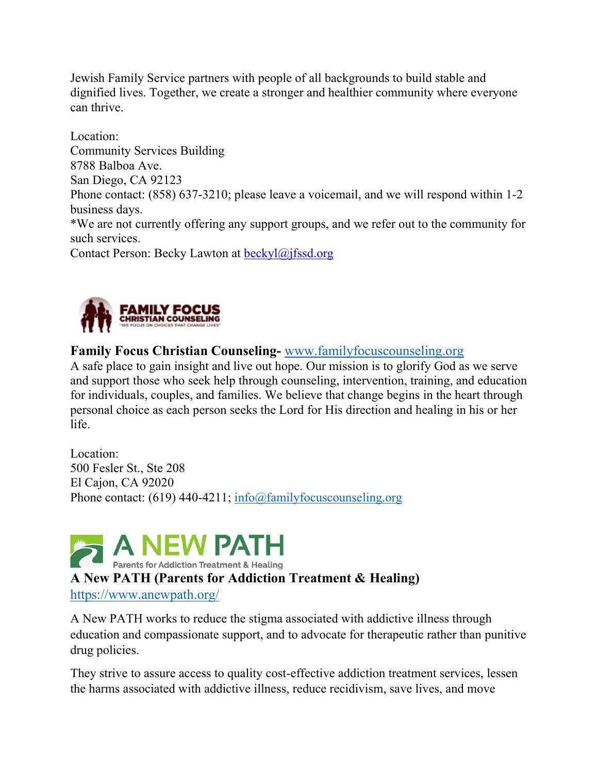Jewish Family Service partners with people of all backgrounds to build stable and dignified lives. Together, we create a stronger and healthier community where everyone can thrive.

Location: Community Services Building 8788 Balboa Ave. San Diego, CA 92123 Phone contact: (858) 637-3210; please leave a voicemail, and we will respond within 1-2 business days. \*We are not currently offering any support groups, and we refer out to the community for such services. Contact Person: Becky Lawton at [beckyl@jfssd.org](mailto:beckyl@jfssd.org)



## **Family Focus Christian Counseling-** [www.familyfocuscounseling.org](http://www.familyfocuscounseling.org/)

A safe place to gain insight and live out hope. Our mission is to glorify God as we serve and support those who seek help through counseling, intervention, training, and education for individuals, couples, and families. We believe that change begins in the heart through personal choice as each person seeks the Lord for His direction and healing in his or her life.

Location: 500 Fesler St., Ste 208 El Cajon, CA 92020 Phone contact: (619) 440-4211; [info@familyfocuscounseling.org](mailto:info@familyfocuscounseling.org)



A New PATH works to reduce the stigma associated with addictive illness through education and compassionate support, and to advocate for therapeutic rather than punitive drug policies.

They strive to assure access to quality cost-effective addiction treatment services, lessen the harms associated with addictive illness, reduce recidivism, save lives, and move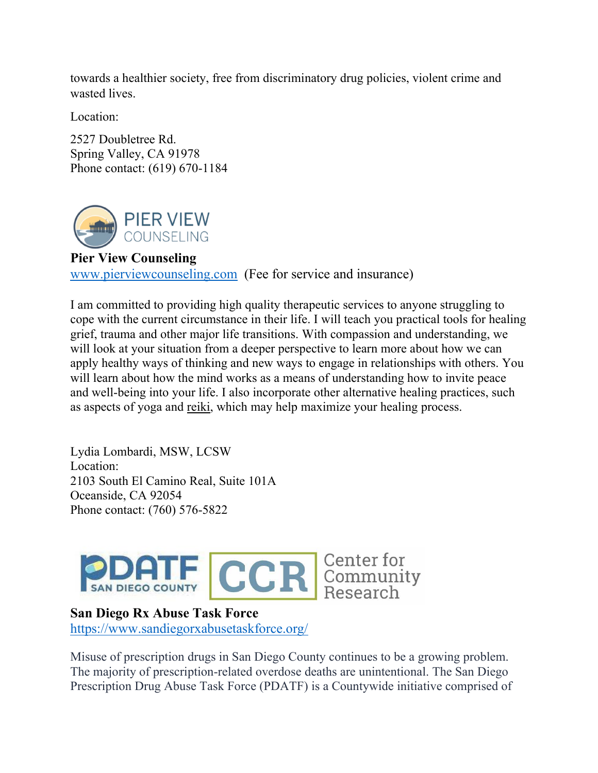towards a healthier society, free from discriminatory drug policies, violent crime and wasted lives.

Location:

2527 Doubletree Rd. Spring Valley, CA 91978 Phone contact: (619) 670-1184



#### **Pier View Counseling**

[www.pierviewcounseling.com](http://www.pierviewcounseling.com/) (Fee for service and insurance)

I am committed to providing high quality therapeutic services to anyone struggling to cope with the current circumstance in their life. I will teach you practical tools for healing grief, trauma and other major life transitions. With compassion and understanding, we will look at your situation from a deeper perspective to learn more about how we can apply healthy ways of thinking and new ways to engage in relationships with others. You will learn about how the mind works as a means of understanding how to invite peace and well-being into your life. I also incorporate other alternative healing practices, such as aspects of yoga and [reiki,](http://www.reiki.org/) which may help maximize your healing process.

Lydia Lombardi, MSW, LCSW Location: 2103 South El Camino Real, Suite 101A Oceanside, CA 92054 Phone contact: (760) 576-5822



#### **San Diego Rx Abuse Task Force**

<https://www.sandiegorxabusetaskforce.org/>

Misuse of prescription drugs in San Diego County continues to be a growing problem. The majority of prescription-related overdose deaths are unintentional. The San Diego Prescription Drug Abuse Task Force (PDATF) is a Countywide initiative comprised of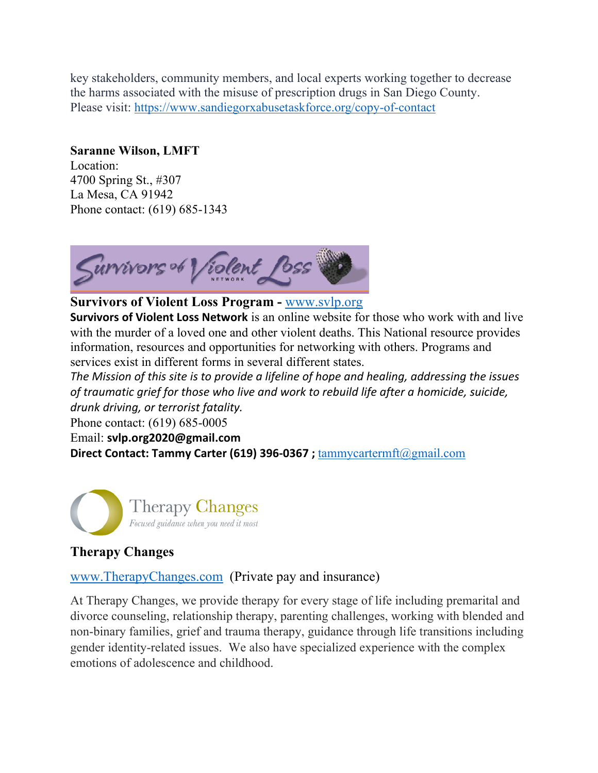key stakeholders, community members, and local experts working together to decrease the harms associated with the misuse of prescription drugs in San Diego County. Please visit:<https://www.sandiegorxabusetaskforce.org/copy-of-contact>

#### **Saranne Wilson, LMFT**

Location: 4700 Spring St., #307 La Mesa, CA 91942 Phone contact: (619) 685-1343



#### **Survivors of Violent Loss Program -** [www.svlp.org](http://www.svlp.org/)

**Survivors of Violent Loss Network** is an online website for those who work with and live with the murder of a loved one and other violent deaths. This National resource provides information, resources and opportunities for networking with others. Programs and services exist in different forms in several different states.

*The Mission of this site is to provide a lifeline of hope and healing, addressing the issues of traumatic grief for those who live and work to rebuild life after a homicide, suicide, drunk driving, or terrorist fatality.*

Phone contact: (619) 685-0005

Email: **[svlp.org2020@gmail.com](mailto:svlp.org2020@gmail.com?subject=contact%20from%20website%20-%20)**

**Direct Contact: Tammy Carter (619) 396-0367 ;** [tammycartermft@gmail.com](mailto:tammycartermft@gmail.com)



# **Therapy Changes**

#### [www.TherapyChanges.com](http://www.therapychanges.com/) (Private pay and insurance)

At Therapy Changes, we provide therapy for every stage of life including premarital and divorce counseling, relationship therapy, parenting challenges, working with blended and non-binary families, grief and trauma therapy, guidance through life transitions including gender identity-related issues. We also have specialized experience with the complex emotions of adolescence and childhood.